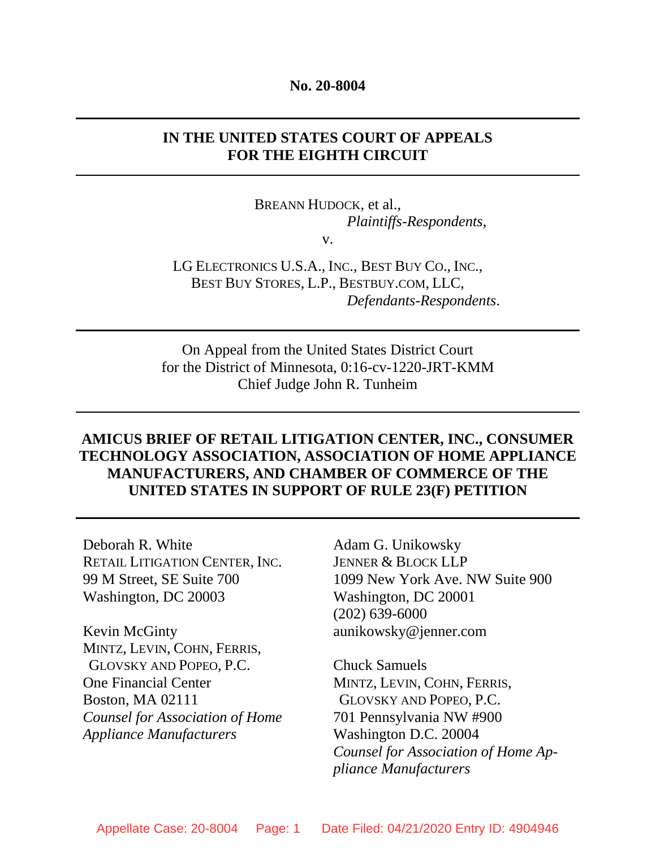#### **No. 20-8004**

## **IN THE UNITED STATES COURT OF APPEALS FOR THE EIGHTH CIRCUIT**

BREANN HUDOCK, et al., *Plaintiffs-Respondents*,

v.

LG ELECTRONICS U.S.A., INC., BEST BUY CO., INC., BEST BUY STORES, L.P., BESTBUY.COM, LLC, *Defendants-Respondents*.

On Appeal from the United States District Court for the District of Minnesota, 0:16-cv-1220-JRT-KMM Chief Judge John R. Tunheim

## **AMICUS BRIEF OF RETAIL LITIGATION CENTER, INC., CONSUMER TECHNOLOGY ASSOCIATION, ASSOCIATION OF HOME APPLIANCE MANUFACTURERS, AND CHAMBER OF COMMERCE OF THE UNITED STATES IN SUPPORT OF RULE 23(F) PETITION**

Deborah R. White RETAIL LITIGATION CENTER, INC. 99 M Street, SE Suite 700 Washington, DC 20003

Kevin McGinty MINTZ, LEVIN, COHN, FERRIS, GLOVSKY AND POPEO, P.C. One Financial Center Boston, MA 02111 *Counsel for Association of Home Appliance Manufacturers* 

Adam G. Unikowsky JENNER & BLOCK LLP 1099 New York Ave. NW Suite 900 Washington, DC 20001 (202) 639-6000 aunikowsky@jenner.com

Chuck Samuels MINTZ, LEVIN, COHN, FERRIS, GLOVSKY AND POPEO, P.C. 701 Pennsylvania NW #900 Washington D.C. 20004 *Counsel for Association of Home Appliance Manufacturers*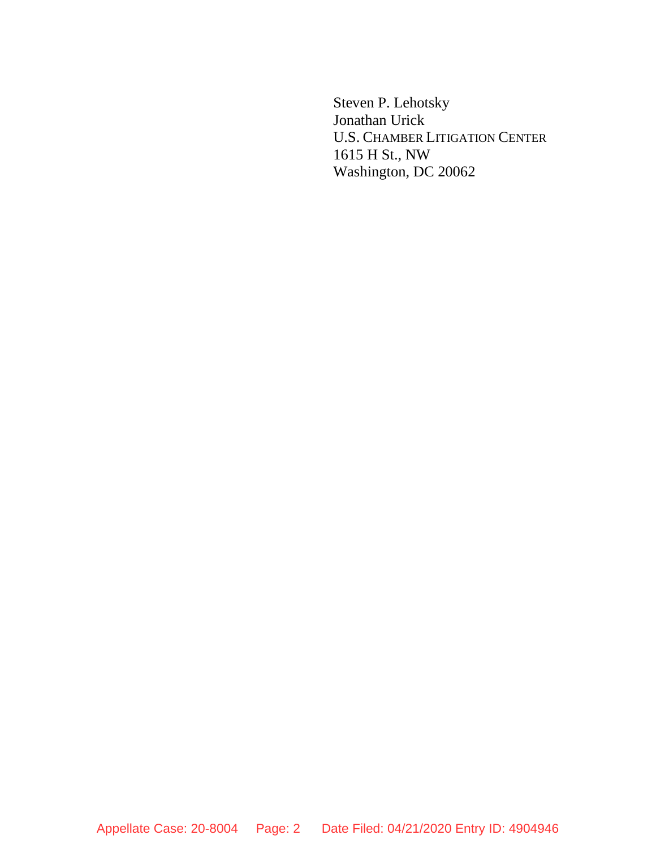Steven P. Lehotsky Jonathan Urick U.S. CHAMBER LITIGATION CENTER 1615 H St., NW Washington, DC 20062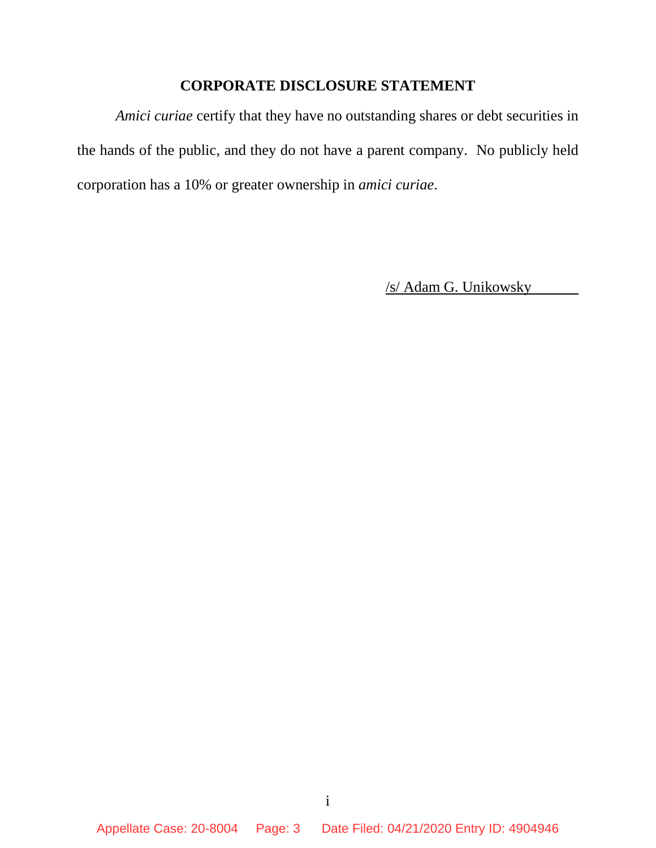## **CORPORATE DISCLOSURE STATEMENT**

*Amici curiae* certify that they have no outstanding shares or debt securities in the hands of the public, and they do not have a parent company. No publicly held corporation has a 10% or greater ownership in *amici curiae*.

/s/ Adam G. Unikowsky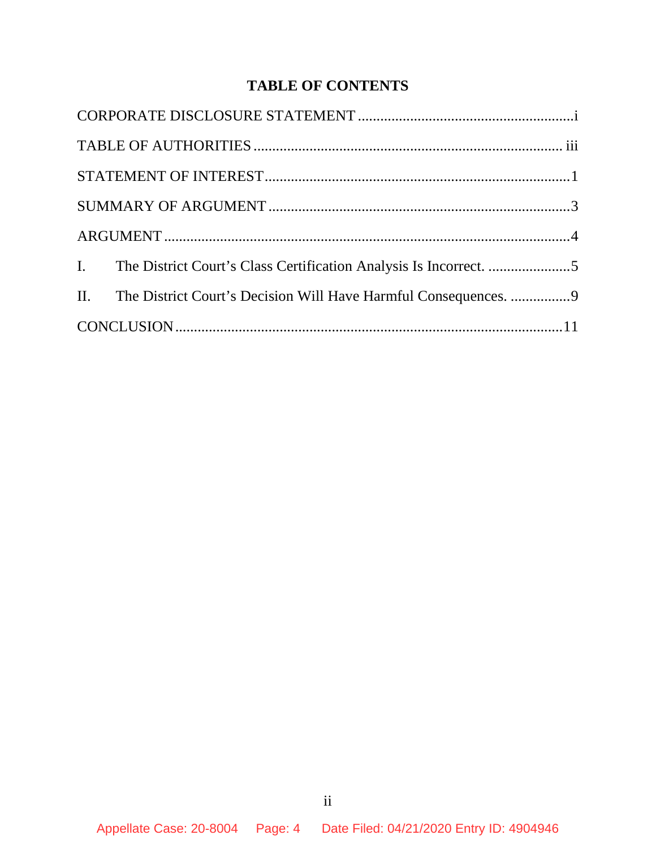# **TABLE OF CONTENTS**

|  | II. The District Court's Decision Will Have Harmful Consequences. 9 |  |
|--|---------------------------------------------------------------------|--|
|  |                                                                     |  |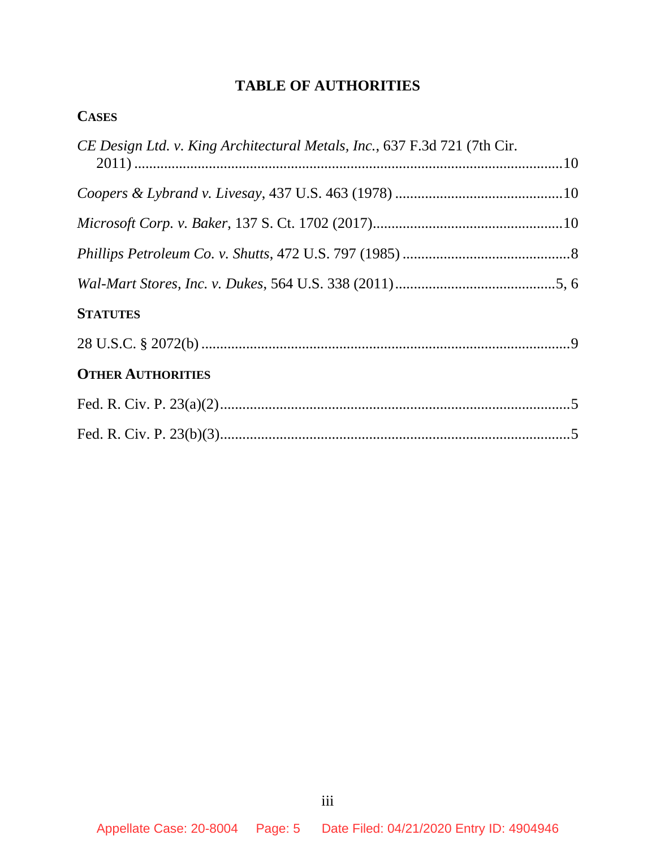# **TABLE OF AUTHORITIES**

| CE Design Ltd. v. King Architectural Metals, Inc., 637 F.3d 721 (7th Cir. |  |  |  |
|---------------------------------------------------------------------------|--|--|--|
|                                                                           |  |  |  |
|                                                                           |  |  |  |
|                                                                           |  |  |  |
|                                                                           |  |  |  |
| <b>STATUTES</b>                                                           |  |  |  |
|                                                                           |  |  |  |
| <b>OTHER AUTHORITIES</b>                                                  |  |  |  |
|                                                                           |  |  |  |
|                                                                           |  |  |  |
|                                                                           |  |  |  |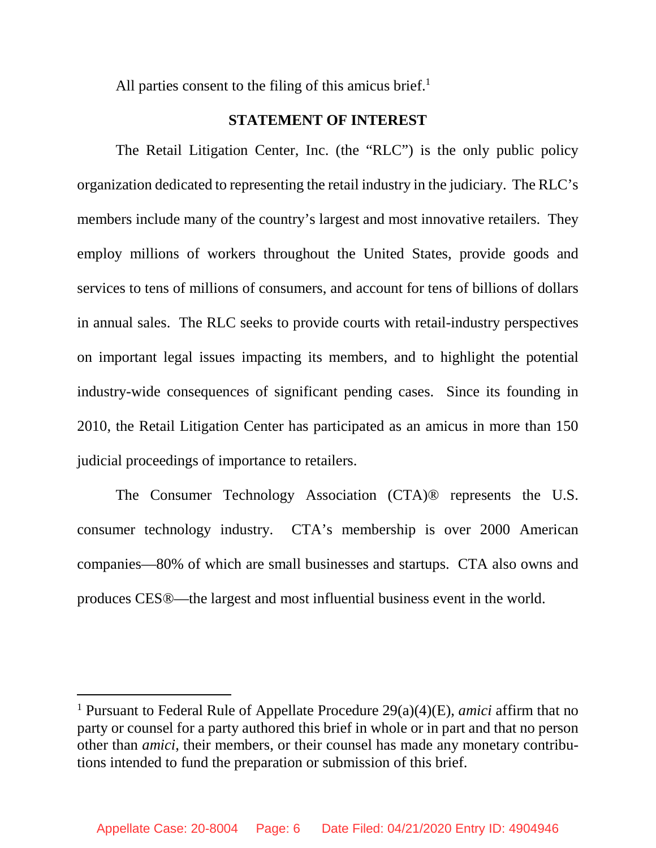All parties consent to the filing of this amicus brief. $<sup>1</sup>$ </sup>

### **STATEMENT OF INTEREST**

The Retail Litigation Center, Inc. (the "RLC") is the only public policy organization dedicated to representing the retail industry in the judiciary. The RLC's members include many of the country's largest and most innovative retailers. They employ millions of workers throughout the United States, provide goods and services to tens of millions of consumers, and account for tens of billions of dollars in annual sales. The RLC seeks to provide courts with retail-industry perspectives on important legal issues impacting its members, and to highlight the potential industry-wide consequences of significant pending cases. Since its founding in 2010, the Retail Litigation Center has participated as an amicus in more than 150 judicial proceedings of importance to retailers.

The Consumer Technology Association (CTA)® represents the U.S. consumer technology industry. CTA's membership is over 2000 American companies—80% of which are small businesses and startups. CTA also owns and produces CES®—the largest and most influential business event in the world.

<sup>1</sup> Pursuant to Federal Rule of Appellate Procedure 29(a)(4)(E), *amici* affirm that no party or counsel for a party authored this brief in whole or in part and that no person other than *amici*, their members, or their counsel has made any monetary contributions intended to fund the preparation or submission of this brief.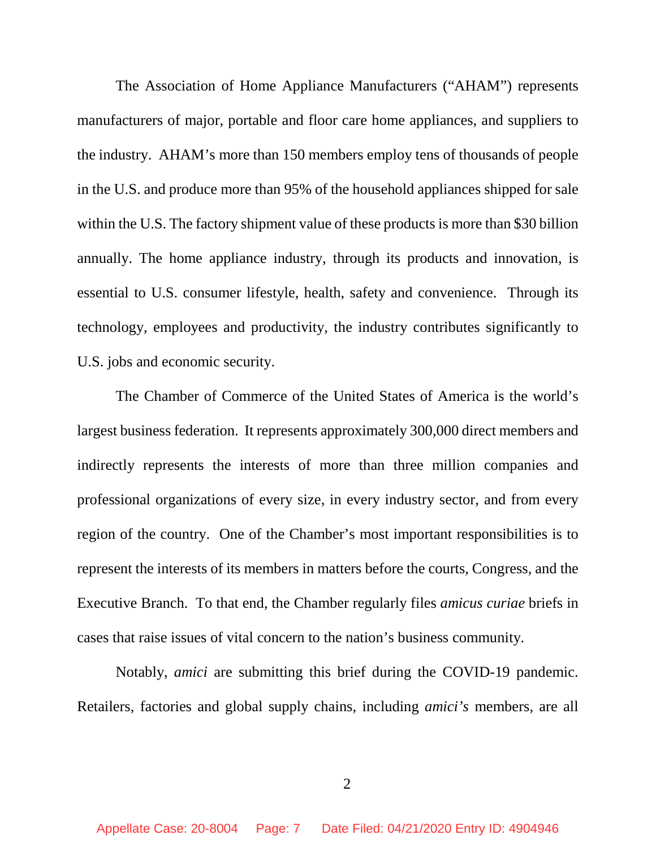The Association of Home Appliance Manufacturers ("AHAM") represents manufacturers of major, portable and floor care home appliances, and suppliers to the industry. AHAM's more than 150 members employ tens of thousands of people in the U.S. and produce more than 95% of the household appliances shipped for sale within the U.S. The factory shipment value of these products is more than \$30 billion annually. The home appliance industry, through its products and innovation, is essential to U.S. consumer lifestyle, health, safety and convenience. Through its technology, employees and productivity, the industry contributes significantly to U.S. jobs and economic security.

The Chamber of Commerce of the United States of America is the world's largest business federation. It represents approximately 300,000 direct members and indirectly represents the interests of more than three million companies and professional organizations of every size, in every industry sector, and from every region of the country. One of the Chamber's most important responsibilities is to represent the interests of its members in matters before the courts, Congress, and the Executive Branch. To that end, the Chamber regularly files *amicus curiae* briefs in cases that raise issues of vital concern to the nation's business community.

Notably, *amici* are submitting this brief during the COVID-19 pandemic. Retailers, factories and global supply chains, including *amici's* members, are all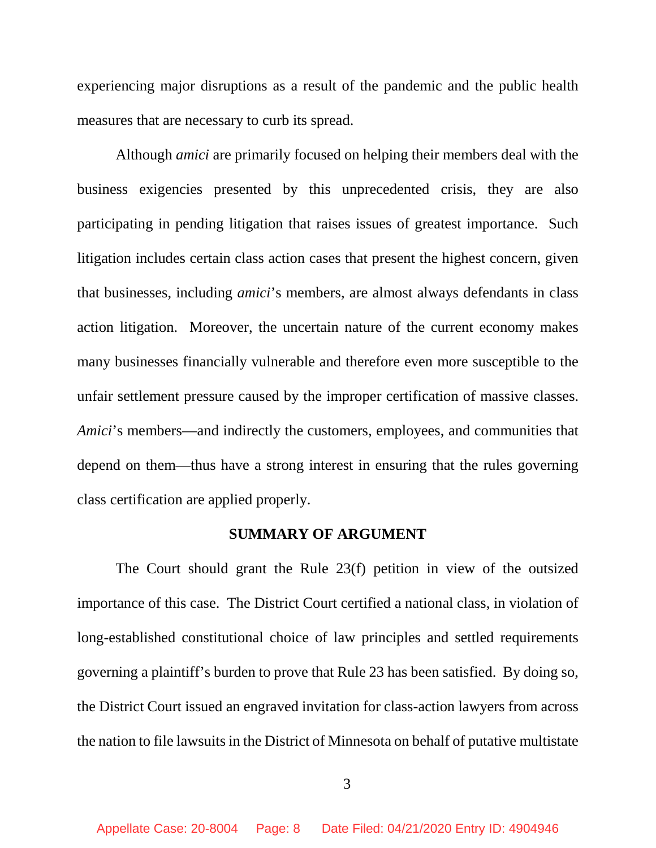experiencing major disruptions as a result of the pandemic and the public health measures that are necessary to curb its spread.

Although *amici* are primarily focused on helping their members deal with the business exigencies presented by this unprecedented crisis, they are also participating in pending litigation that raises issues of greatest importance. Such litigation includes certain class action cases that present the highest concern, given that businesses, including *amici*'s members, are almost always defendants in class action litigation. Moreover, the uncertain nature of the current economy makes many businesses financially vulnerable and therefore even more susceptible to the unfair settlement pressure caused by the improper certification of massive classes. *Amici*'s members—and indirectly the customers, employees, and communities that depend on them—thus have a strong interest in ensuring that the rules governing class certification are applied properly.

#### **SUMMARY OF ARGUMENT**

The Court should grant the Rule 23(f) petition in view of the outsized importance of this case. The District Court certified a national class, in violation of long-established constitutional choice of law principles and settled requirements governing a plaintiff's burden to prove that Rule 23 has been satisfied. By doing so, the District Court issued an engraved invitation for class-action lawyers from across the nation to file lawsuits in the District of Minnesota on behalf of putative multistate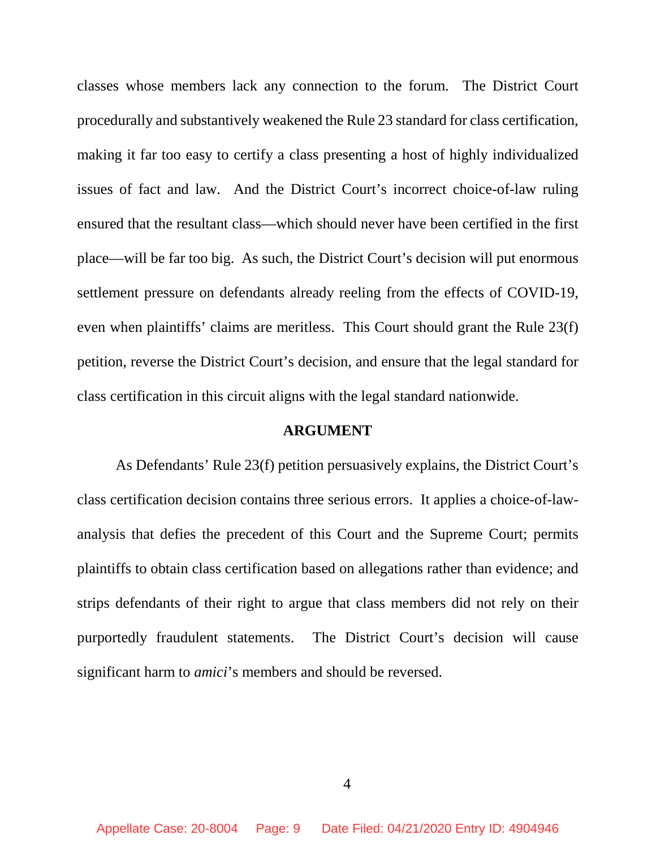classes whose members lack any connection to the forum. The District Court procedurally and substantively weakened the Rule 23 standard for class certification, making it far too easy to certify a class presenting a host of highly individualized issues of fact and law. And the District Court's incorrect choice-of-law ruling ensured that the resultant class—which should never have been certified in the first place—will be far too big. As such, the District Court's decision will put enormous settlement pressure on defendants already reeling from the effects of COVID-19, even when plaintiffs' claims are meritless. This Court should grant the Rule 23(f) petition, reverse the District Court's decision, and ensure that the legal standard for class certification in this circuit aligns with the legal standard nationwide.

#### **ARGUMENT**

As Defendants' Rule 23(f) petition persuasively explains, the District Court's class certification decision contains three serious errors. It applies a choice-of-lawanalysis that defies the precedent of this Court and the Supreme Court; permits plaintiffs to obtain class certification based on allegations rather than evidence; and strips defendants of their right to argue that class members did not rely on their purportedly fraudulent statements. The District Court's decision will cause significant harm to *amici*'s members and should be reversed.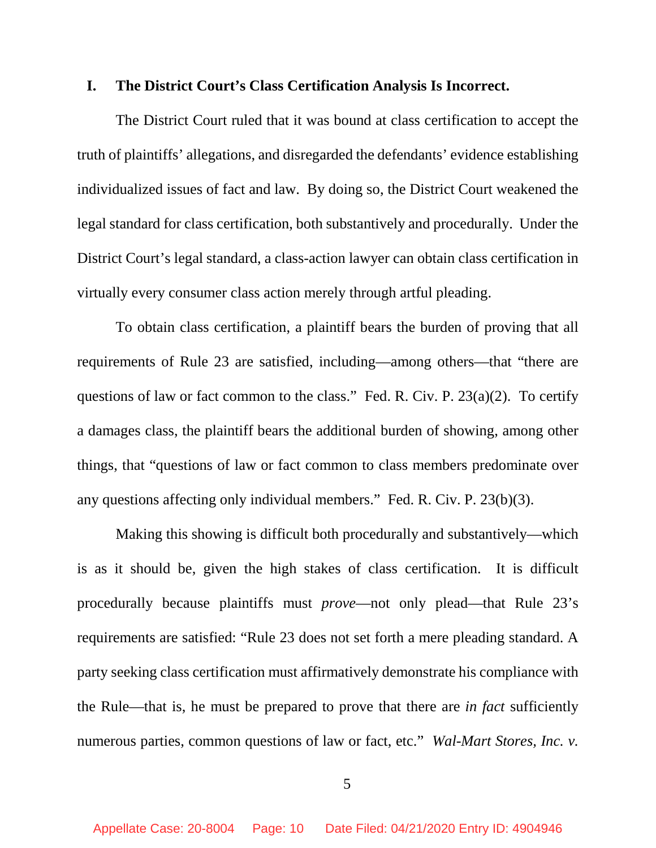#### **I. The District Court's Class Certification Analysis Is Incorrect.**

The District Court ruled that it was bound at class certification to accept the truth of plaintiffs' allegations, and disregarded the defendants' evidence establishing individualized issues of fact and law. By doing so, the District Court weakened the legal standard for class certification, both substantively and procedurally. Under the District Court's legal standard, a class-action lawyer can obtain class certification in virtually every consumer class action merely through artful pleading.

To obtain class certification, a plaintiff bears the burden of proving that all requirements of Rule 23 are satisfied, including—among others—that "there are questions of law or fact common to the class." Fed. R. Civ. P. 23(a)(2). To certify a damages class, the plaintiff bears the additional burden of showing, among other things, that "questions of law or fact common to class members predominate over any questions affecting only individual members." Fed. R. Civ. P. 23(b)(3).

Making this showing is difficult both procedurally and substantively—which is as it should be, given the high stakes of class certification. It is difficult procedurally because plaintiffs must *prove*—not only plead—that Rule 23's requirements are satisfied: "Rule 23 does not set forth a mere pleading standard. A party seeking class certification must affirmatively demonstrate his compliance with the Rule—that is, he must be prepared to prove that there are *in fact* sufficiently numerous parties, common questions of law or fact, etc." *Wal-Mart Stores, Inc. v.* 

5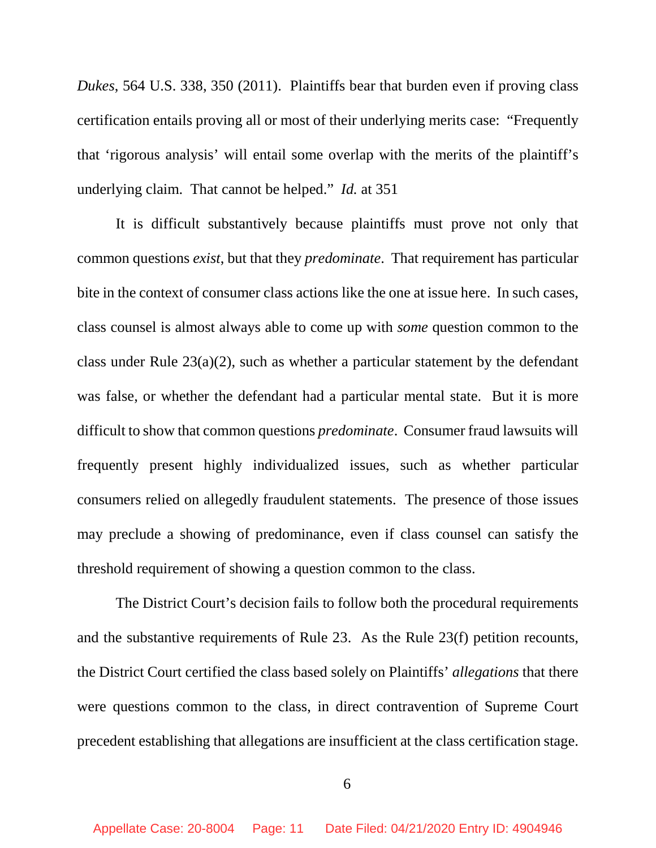*Dukes*, 564 U.S. 338, 350 (2011). Plaintiffs bear that burden even if proving class certification entails proving all or most of their underlying merits case: "Frequently that 'rigorous analysis' will entail some overlap with the merits of the plaintiff's underlying claim. That cannot be helped." *Id.* at 351

It is difficult substantively because plaintiffs must prove not only that common questions *exist*, but that they *predominate*. That requirement has particular bite in the context of consumer class actions like the one at issue here. In such cases, class counsel is almost always able to come up with *some* question common to the class under Rule 23(a)(2), such as whether a particular statement by the defendant was false, or whether the defendant had a particular mental state. But it is more difficult to show that common questions *predominate*. Consumer fraud lawsuits will frequently present highly individualized issues, such as whether particular consumers relied on allegedly fraudulent statements. The presence of those issues may preclude a showing of predominance, even if class counsel can satisfy the threshold requirement of showing a question common to the class.

The District Court's decision fails to follow both the procedural requirements and the substantive requirements of Rule 23. As the Rule 23(f) petition recounts, the District Court certified the class based solely on Plaintiffs' *allegations* that there were questions common to the class, in direct contravention of Supreme Court precedent establishing that allegations are insufficient at the class certification stage.

6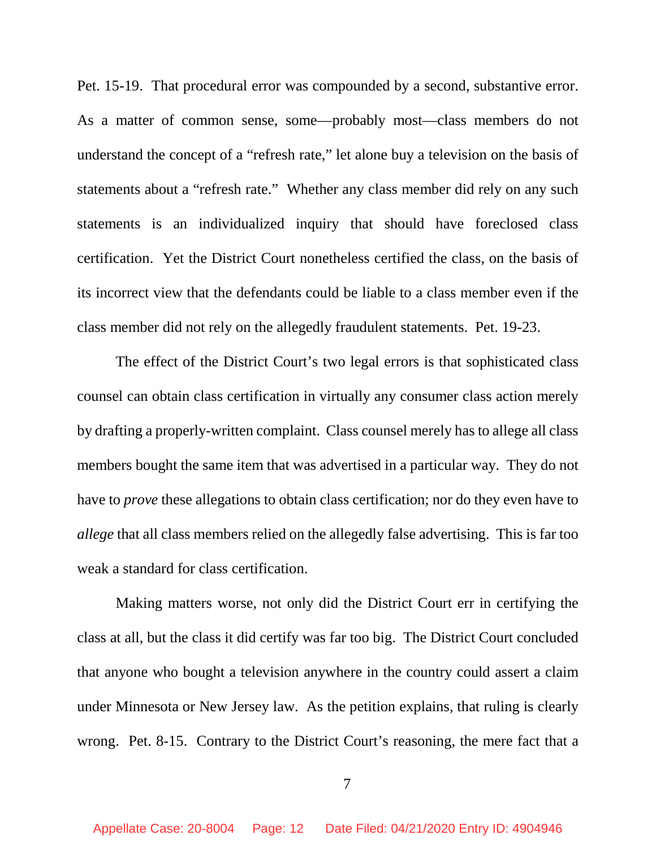Pet. 15-19. That procedural error was compounded by a second, substantive error. As a matter of common sense, some—probably most—class members do not understand the concept of a "refresh rate," let alone buy a television on the basis of statements about a "refresh rate." Whether any class member did rely on any such statements is an individualized inquiry that should have foreclosed class certification. Yet the District Court nonetheless certified the class, on the basis of its incorrect view that the defendants could be liable to a class member even if the class member did not rely on the allegedly fraudulent statements. Pet. 19-23.

The effect of the District Court's two legal errors is that sophisticated class counsel can obtain class certification in virtually any consumer class action merely by drafting a properly-written complaint. Class counsel merely has to allege all class members bought the same item that was advertised in a particular way. They do not have to *prove* these allegations to obtain class certification; nor do they even have to *allege* that all class members relied on the allegedly false advertising. This is far too weak a standard for class certification.

Making matters worse, not only did the District Court err in certifying the class at all, but the class it did certify was far too big. The District Court concluded that anyone who bought a television anywhere in the country could assert a claim under Minnesota or New Jersey law. As the petition explains, that ruling is clearly wrong. Pet. 8-15. Contrary to the District Court's reasoning, the mere fact that a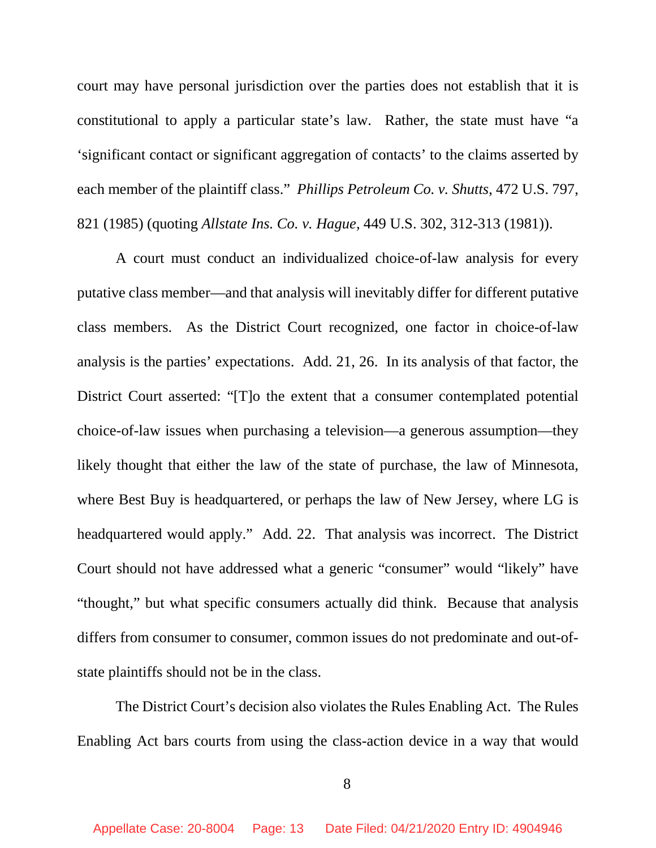court may have personal jurisdiction over the parties does not establish that it is constitutional to apply a particular state's law. Rather, the state must have "a 'significant contact or significant aggregation of contacts' to the claims asserted by each member of the plaintiff class." *Phillips Petroleum Co. v. Shutts*, 472 U.S. 797, 821 (1985) (quoting *Allstate Ins. Co. v. Hague*, 449 U.S. 302, 312-313 (1981)).

A court must conduct an individualized choice-of-law analysis for every putative class member—and that analysis will inevitably differ for different putative class members. As the District Court recognized, one factor in choice-of-law analysis is the parties' expectations. Add. 21, 26. In its analysis of that factor, the District Court asserted: "[T]o the extent that a consumer contemplated potential choice-of-law issues when purchasing a television—a generous assumption—they likely thought that either the law of the state of purchase, the law of Minnesota, where Best Buy is headquartered, or perhaps the law of New Jersey, where LG is headquartered would apply." Add. 22. That analysis was incorrect. The District Court should not have addressed what a generic "consumer" would "likely" have "thought," but what specific consumers actually did think. Because that analysis differs from consumer to consumer, common issues do not predominate and out-ofstate plaintiffs should not be in the class.

The District Court's decision also violates the Rules Enabling Act. The Rules Enabling Act bars courts from using the class-action device in a way that would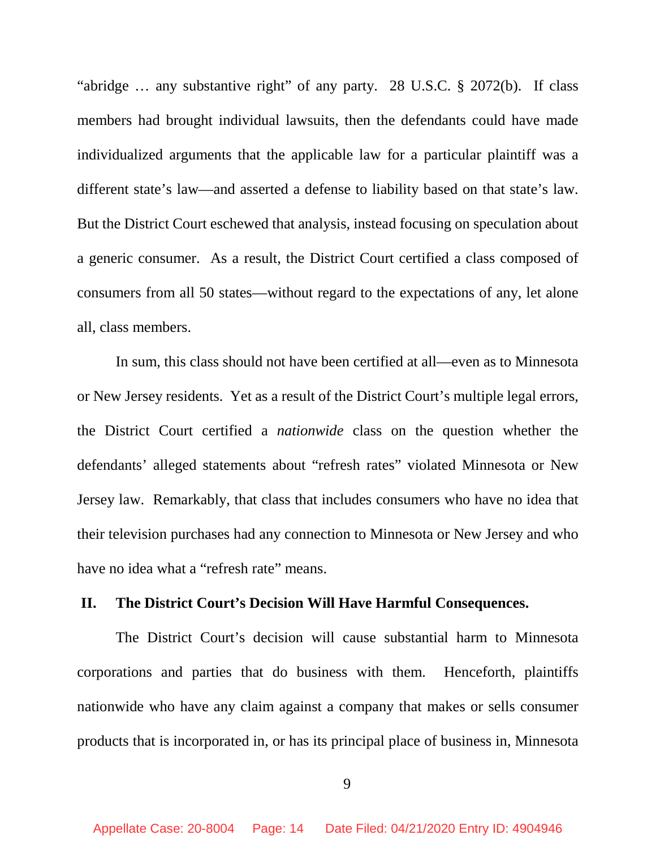"abridge … any substantive right" of any party. 28 U.S.C. § 2072(b). If class members had brought individual lawsuits, then the defendants could have made individualized arguments that the applicable law for a particular plaintiff was a different state's law—and asserted a defense to liability based on that state's law. But the District Court eschewed that analysis, instead focusing on speculation about a generic consumer. As a result, the District Court certified a class composed of consumers from all 50 states—without regard to the expectations of any, let alone all, class members.

In sum, this class should not have been certified at all—even as to Minnesota or New Jersey residents. Yet as a result of the District Court's multiple legal errors, the District Court certified a *nationwide* class on the question whether the defendants' alleged statements about "refresh rates" violated Minnesota or New Jersey law. Remarkably, that class that includes consumers who have no idea that their television purchases had any connection to Minnesota or New Jersey and who have no idea what a "refresh rate" means.

#### **II. The District Court's Decision Will Have Harmful Consequences.**

The District Court's decision will cause substantial harm to Minnesota corporations and parties that do business with them. Henceforth, plaintiffs nationwide who have any claim against a company that makes or sells consumer products that is incorporated in, or has its principal place of business in, Minnesota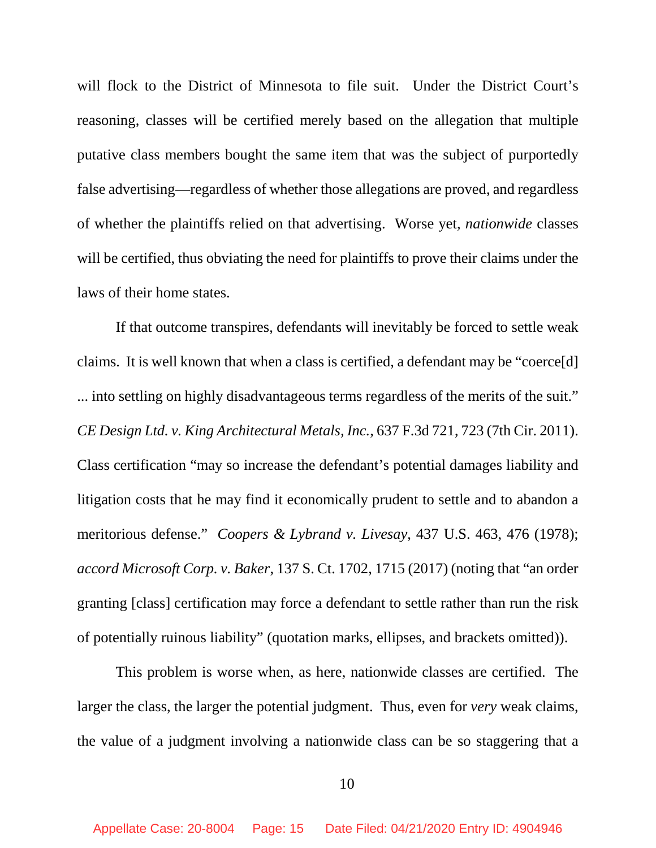will flock to the District of Minnesota to file suit. Under the District Court's reasoning, classes will be certified merely based on the allegation that multiple putative class members bought the same item that was the subject of purportedly false advertising—regardless of whether those allegations are proved, and regardless of whether the plaintiffs relied on that advertising. Worse yet, *nationwide* classes will be certified, thus obviating the need for plaintiffs to prove their claims under the laws of their home states.

If that outcome transpires, defendants will inevitably be forced to settle weak claims. It is well known that when a class is certified, a defendant may be "coerce[d] ... into settling on highly disadvantageous terms regardless of the merits of the suit." *CE Design Ltd. v. King Architectural Metals, Inc.*, 637 F.3d 721, 723 (7th Cir. 2011). Class certification "may so increase the defendant's potential damages liability and litigation costs that he may find it economically prudent to settle and to abandon a meritorious defense." *Coopers & Lybrand v. Livesay*, 437 U.S. 463, 476 (1978); *accord Microsoft Corp. v. Baker*, 137 S. Ct. 1702, 1715 (2017) (noting that "an order granting [class] certification may force a defendant to settle rather than run the risk of potentially ruinous liability" (quotation marks, ellipses, and brackets omitted)).

This problem is worse when, as here, nationwide classes are certified. The larger the class, the larger the potential judgment. Thus, even for *very* weak claims, the value of a judgment involving a nationwide class can be so staggering that a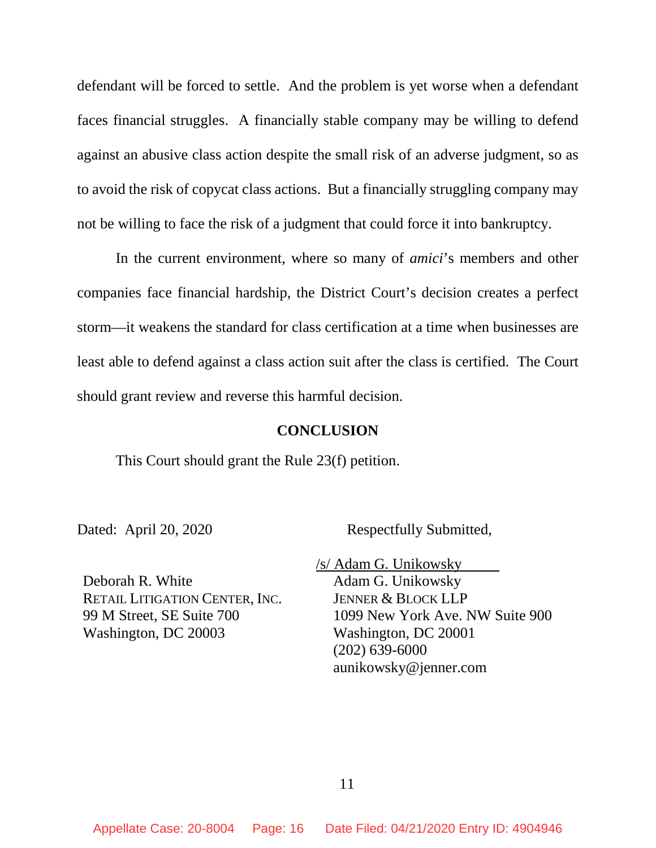defendant will be forced to settle. And the problem is yet worse when a defendant faces financial struggles. A financially stable company may be willing to defend against an abusive class action despite the small risk of an adverse judgment, so as to avoid the risk of copycat class actions. But a financially struggling company may not be willing to face the risk of a judgment that could force it into bankruptcy.

In the current environment, where so many of *amici*'s members and other companies face financial hardship, the District Court's decision creates a perfect storm—it weakens the standard for class certification at a time when businesses are least able to defend against a class action suit after the class is certified. The Court should grant review and reverse this harmful decision.

### **CONCLUSION**

This Court should grant the Rule 23(f) petition.

Dated: April 20, 2020 Respectfully Submitted,

Deborah R. White RETAIL LITIGATION CENTER, INC. 99 M Street, SE Suite 700 Washington, DC 20003

/s/ Adam G. Unikowsky

Adam G. Unikowsky JENNER & BLOCK LLP 1099 New York Ave. NW Suite 900 Washington, DC 20001 (202) 639-6000 aunikowsky@jenner.com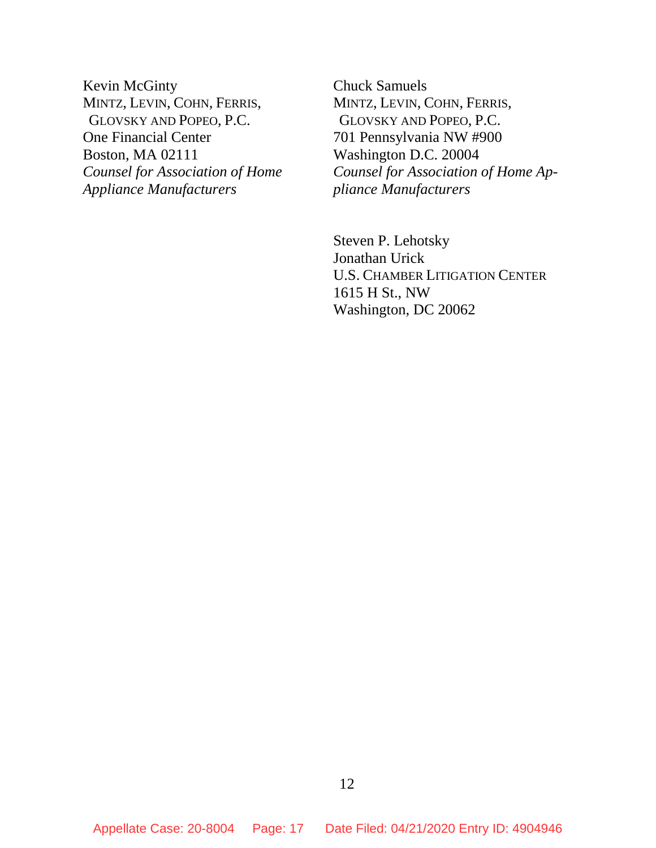Kevin McGinty MINTZ, LEVIN, COHN, FERRIS, GLOVSKY AND POPEO, P.C. One Financial Center Boston, MA 02111 *Counsel for Association of Home Appliance Manufacturers*

Chuck Samuels MINTZ, LEVIN, COHN, FERRIS, GLOVSKY AND POPEO, P.C. 701 Pennsylvania NW #900 Washington D.C. 20004 *Counsel for Association of Home Appliance Manufacturers* 

Steven P. Lehotsky Jonathan Urick U.S. CHAMBER LITIGATION CENTER 1615 H St., NW Washington, DC 20062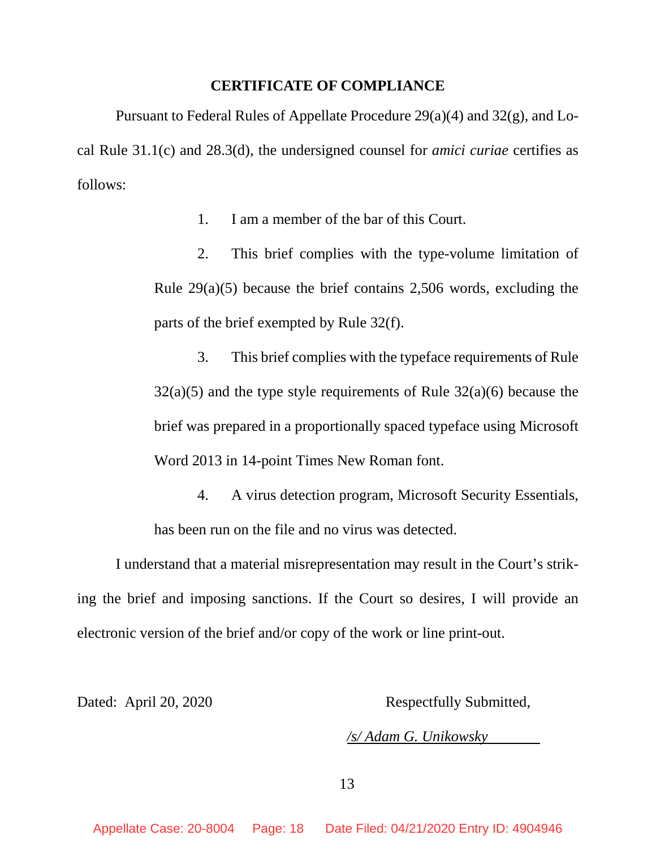#### **CERTIFICATE OF COMPLIANCE**

Pursuant to Federal Rules of Appellate Procedure 29(a)(4) and 32(g), and Local Rule 31.1(c) and 28.3(d), the undersigned counsel for *amici curiae* certifies as follows:

1. I am a member of the bar of this Court.

2. This brief complies with the type-volume limitation of Rule 29(a)(5) because the brief contains 2,506 words, excluding the parts of the brief exempted by Rule 32(f).

3. This brief complies with the typeface requirements of Rule  $32(a)(5)$  and the type style requirements of Rule  $32(a)(6)$  because the brief was prepared in a proportionally spaced typeface using Microsoft Word 2013 in 14-point Times New Roman font.

4. A virus detection program, Microsoft Security Essentials, has been run on the file and no virus was detected.

I understand that a material misrepresentation may result in the Court's striking the brief and imposing sanctions. If the Court so desires, I will provide an electronic version of the brief and/or copy of the work or line print-out.

Dated: April 20, 2020 Respectfully Submitted,

*/s/ Adam G. Unikowsky*